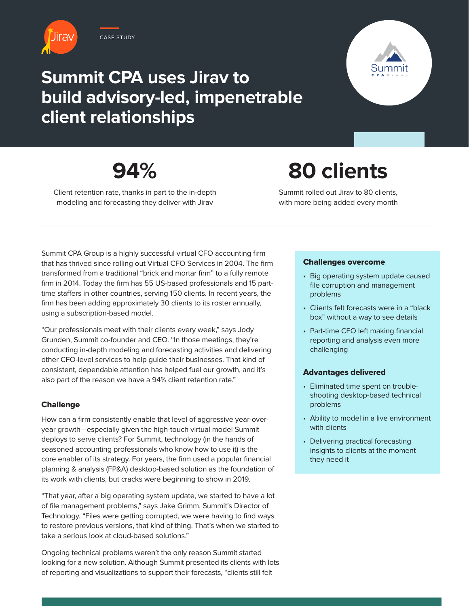

### **Summit CPA uses Jirav to build advisory-led, impenetrable client relationships**



## **94%**

Client retention rate, thanks in part to the in-depth modeling and forecasting they deliver with Jirav

# **80 clients**

Summit rolled out Jirav to 80 clients, with more being added every month

Summit CPA Group is a highly successful virtual CFO accounting firm that has thrived since rolling out Virtual CFO Services in 2004. The firm transformed from a traditional "brick and mortar firm" to a fully remote firm in 2014. Today the firm has 55 US-based professionals and 15 parttime staffers in other countries, serving 150 clients. In recent years, the firm has been adding approximately 30 clients to its roster annually, using a subscription-based model.

"Our professionals meet with their clients every week," says Jody Grunden, Summit co-founder and CEO. "In those meetings, they're conducting in-depth modeling and forecasting activities and delivering other CFO-level services to help guide their businesses. That kind of consistent, dependable attention has helped fuel our growth, and it's also part of the reason we have a 94% client retention rate."

#### Challenge

How can a firm consistently enable that level of aggressive year-overyear growth—especially given the high-touch virtual model Summit deploys to serve clients? For Summit, technology (in the hands of seasoned accounting professionals who know how to use it) is the core enabler of its strategy. For years, the firm used a popular financial planning & analysis (FP&A) desktop-based solution as the foundation of its work with clients, but cracks were beginning to show in 2019.

"That year, after a big operating system update, we started to have a lot of file management problems," says Jake Grimm, Summit's Director of Technology. "Files were getting corrupted, we were having to find ways to restore previous versions, that kind of thing. That's when we started to take a serious look at cloud-based solutions."

Ongoing technical problems weren't the only reason Summit started looking for a new solution. Although Summit presented its clients with lots of reporting and visualizations to support their forecasts, "clients still felt

#### Challenges overcome

- Big operating system update caused file corruption and management problems
- Clients felt forecasts were in a "black box" without a way to see details
- Part-time CFO left making financial reporting and analysis even more challenging

#### Advantages delivered

- Eliminated time spent on troubleshooting desktop-based technical problems
- Ability to model in a live environment with clients
- Delivering practical forecasting insights to clients at the moment they need it